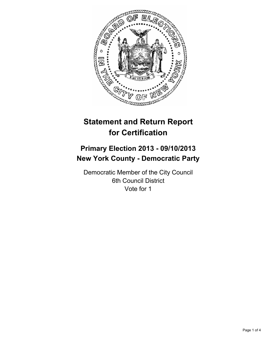

# **Statement and Return Report for Certification**

## **Primary Election 2013 - 09/10/2013 New York County - Democratic Party**

Democratic Member of the City Council 6th Council District Vote for 1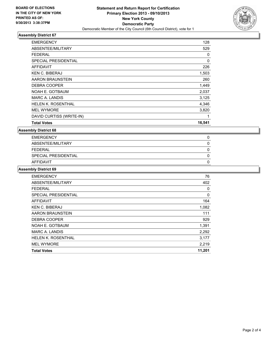

### **Assembly District 67**

| <b>EMERGENCY</b>            | 128    |
|-----------------------------|--------|
| ABSENTEE/MILITARY           | 529    |
| <b>FEDERAL</b>              | 0      |
| <b>SPECIAL PRESIDENTIAL</b> | 0      |
| <b>AFFIDAVIT</b>            | 226    |
| <b>KEN C. BIBERAJ</b>       | 1,503  |
| AARON BRAUNSTEIN            | 260    |
| DEBRA COOPER                | 1,449  |
| NOAH E. GOTBAUM             | 2,037  |
| <b>MARC A. LANDIS</b>       | 3,125  |
| HELEN K. ROSENTHAL          | 4,346  |
| <b>MEL WYMORE</b>           | 3,820  |
| DAVID CURTISS (WRITE-IN)    | 1      |
| <b>Total Votes</b>          | 16,541 |

**Assembly District 68**

| <b>EMERGENCY</b>     |  |
|----------------------|--|
| ABSENTEE/MILITARY    |  |
| FEDERAL              |  |
| SPECIAL PRESIDENTIAL |  |
| AFFIDAVIT            |  |

#### **Assembly District 69**

| <b>EMERGENCY</b>          | 76     |
|---------------------------|--------|
| ABSENTEE/MILITARY         | 402    |
| <b>FEDERAL</b>            | 0      |
| SPECIAL PRESIDENTIAL      | 0      |
| AFFIDAVIT                 | 164    |
| <b>KEN C. BIBERAJ</b>     | 1,082  |
| AARON BRAUNSTEIN          | 111    |
| <b>DEBRA COOPER</b>       | 929    |
| NOAH E. GOTBAUM           | 1,391  |
| <b>MARC A. LANDIS</b>     | 2,292  |
| <b>HELEN K. ROSENTHAL</b> | 3,177  |
| <b>MEL WYMORE</b>         | 2,219  |
| <b>Total Votes</b>        | 11,201 |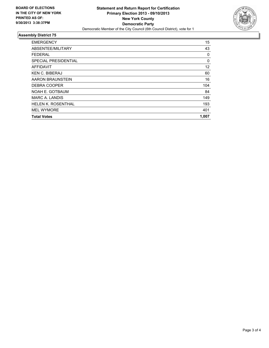

#### **Assembly District 75**

| <b>Total Votes</b>        | 1.007 |
|---------------------------|-------|
| <b>MEL WYMORE</b>         | 401   |
| <b>HELEN K. ROSENTHAL</b> | 193   |
| MARC A. LANDIS            | 149   |
| NOAH E. GOTBAUM           | 84    |
| DEBRA COOPER              | 104   |
| AARON BRAUNSTEIN          | 16    |
| <b>KEN C. BIBERAJ</b>     | 60    |
| AFFIDAVIT                 | 12    |
| SPECIAL PRESIDENTIAL      | 0     |
| <b>FEDERAL</b>            | 0     |
| ABSENTEE/MILITARY         | 43    |
| <b>EMERGENCY</b>          | 15    |